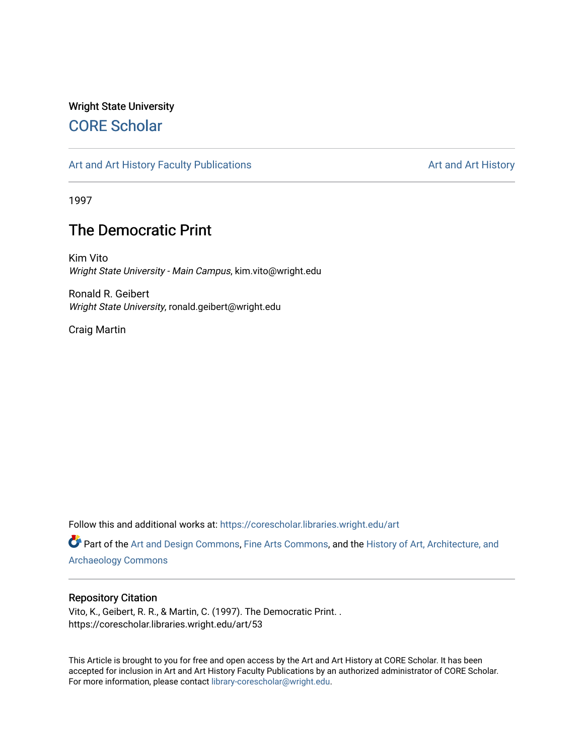## Wright State University [CORE Scholar](https://corescholar.libraries.wright.edu/)

### [Art and Art History Faculty Publications](https://corescholar.libraries.wright.edu/art) [Art and Art History](https://corescholar.libraries.wright.edu/art_comm) Art and Art History

1997

# The Democratic Print

Kim Vito Wright State University - Main Campus, kim.vito@wright.edu

Ronald R. Geibert Wright State University, ronald.geibert@wright.edu

Craig Martin

Follow this and additional works at: [https://corescholar.libraries.wright.edu/art](https://corescholar.libraries.wright.edu/art?utm_source=corescholar.libraries.wright.edu%2Fart%2F53&utm_medium=PDF&utm_campaign=PDFCoverPages) 

Part of the [Art and Design Commons](http://network.bepress.com/hgg/discipline/1049?utm_source=corescholar.libraries.wright.edu%2Fart%2F53&utm_medium=PDF&utm_campaign=PDFCoverPages), [Fine Arts Commons](http://network.bepress.com/hgg/discipline/1141?utm_source=corescholar.libraries.wright.edu%2Fart%2F53&utm_medium=PDF&utm_campaign=PDFCoverPages), and the [History of Art, Architecture, and](http://network.bepress.com/hgg/discipline/510?utm_source=corescholar.libraries.wright.edu%2Fart%2F53&utm_medium=PDF&utm_campaign=PDFCoverPages) [Archaeology Commons](http://network.bepress.com/hgg/discipline/510?utm_source=corescholar.libraries.wright.edu%2Fart%2F53&utm_medium=PDF&utm_campaign=PDFCoverPages) 

#### Repository Citation

Vito, K., Geibert, R. R., & Martin, C. (1997). The Democratic Print. . https://corescholar.libraries.wright.edu/art/53

This Article is brought to you for free and open access by the Art and Art History at CORE Scholar. It has been accepted for inclusion in Art and Art History Faculty Publications by an authorized administrator of CORE Scholar. For more information, please contact [library-corescholar@wright.edu](mailto:library-corescholar@wright.edu).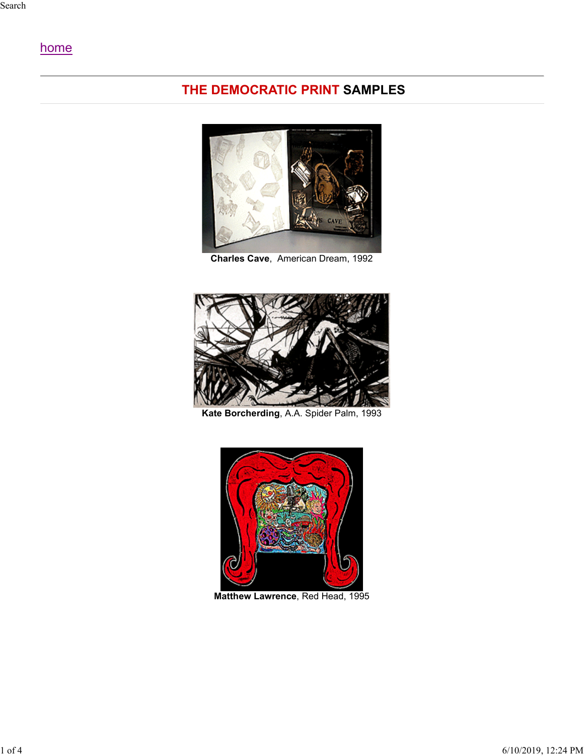## home

## **THE DEMOCRATIC PRINT SAMPLES**



**Charles Cave**, American Dream, 1992



**Kate Borcherding**, A.A. Spider Palm, 1993



**Matthew Lawrence**, Red Head, 1995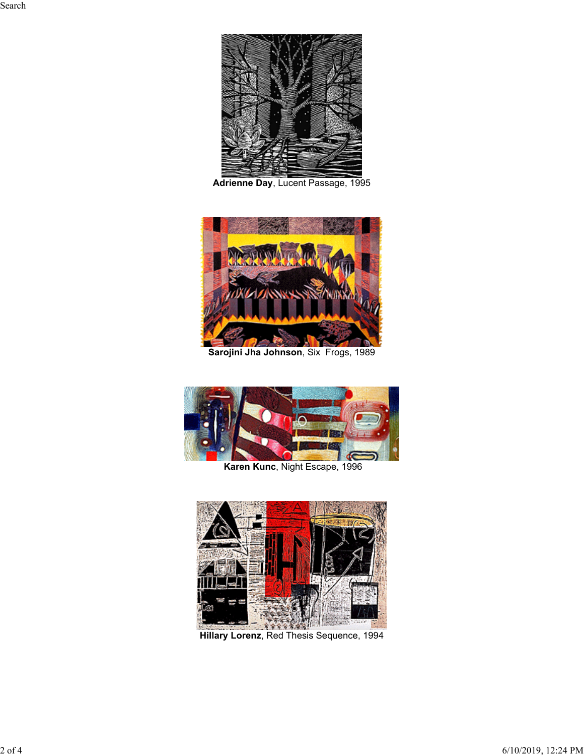

**Adrienne Day**, Lucent Passage, 1995



**Sarojini Jha Johnson**, Six Frogs, 1989





**Hillary Lorenz**, Red Thesis Sequence, 1994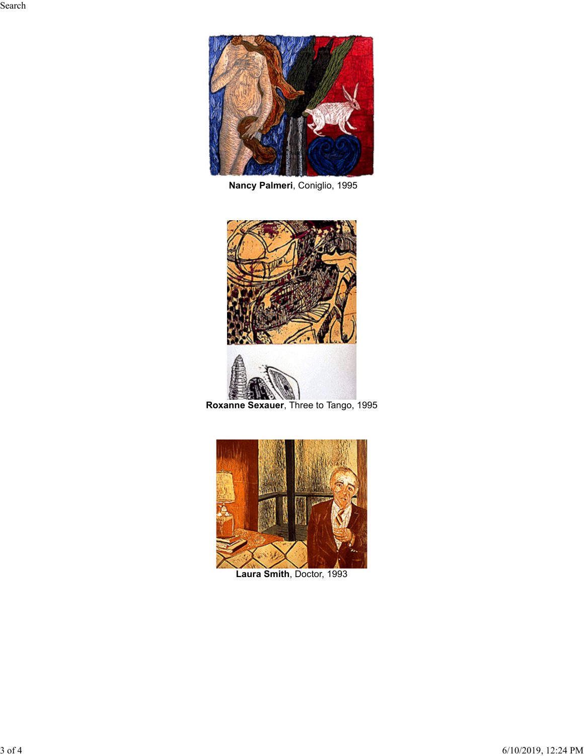

**Nancy Palmeri**, Coniglio, 1995





**Roxanne Sexauer**, Three to Tango, 1995



**Laura Smith**, Doctor, 1993